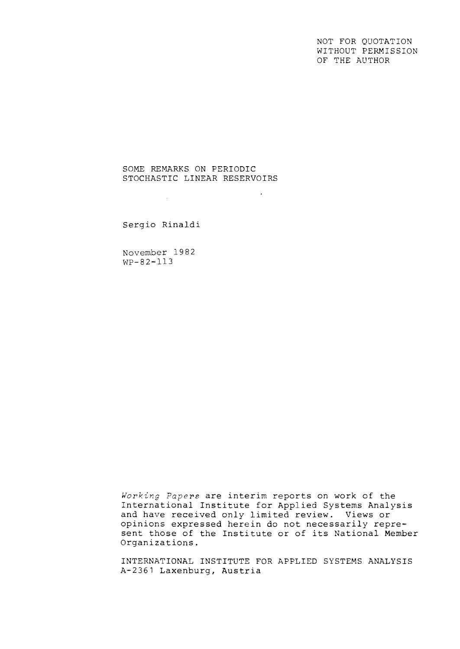NOT FOR QUOTATION WITHOUT PERMISSION OF THE AUTHOR

## SOME REMARKS ON PERIODIC STOCHASTIC LINEAR RESERVOIRS

 $\sim$   $\sim$ 

Sergio Rinaldi

 $\sim 10^7$ 

November 1982 WP-82-113

*Working* Papers are interim reports on work of the International Institute for Applied Systems Analysis and have received only limited review. Views or opinions expressed herein do not necessarily represent those of the Institute or of its National Member Organizations.

INTERNATIONAL INSTITUTE FOR APPLIED SYSTEMS ANALYSIS A-2361 Laxenburg, Austria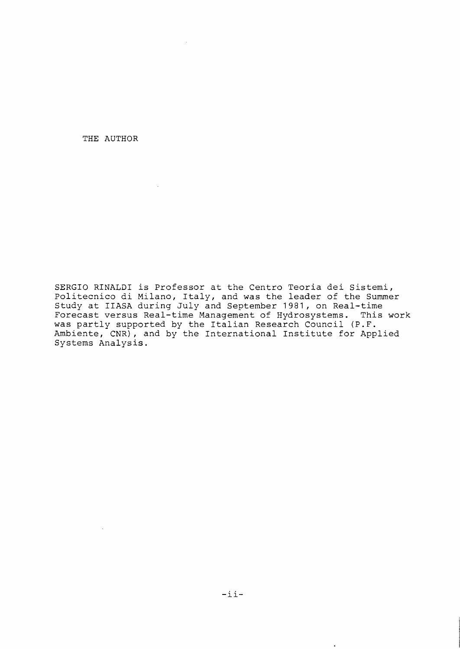THE AUTHOR

SERGIO RINALDI is Professor at the Centro Teoria dei Sistemi, Politecnico di Milano, Italy, and was the leader of the Summer Study at IIASA during July and September 1981, on Real-time Forecast versus Real-time Management of Hydrosystems. This work was partly supported by the Italian Research Council (P.F. Ambiente, CNR), and by the International Institute for Applied Systems Analysis.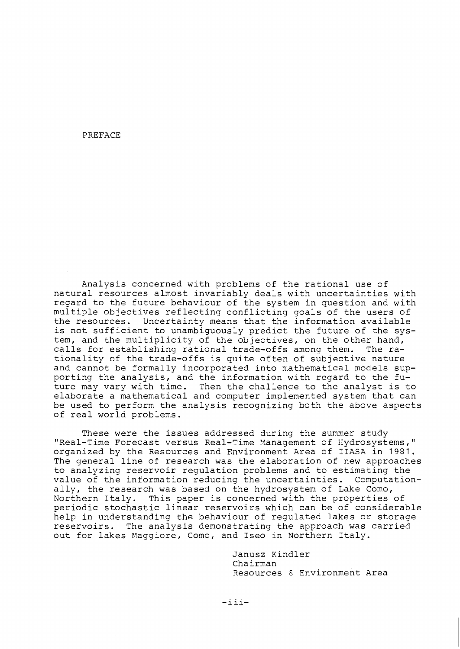#### PREFACE

Analysis concerned with problems of the rational use of natural resources almost invariably deals with uncertainties with regard to the future behaviour of the system in question and with multiple objectives reflecting conflicting goals of the users of the resources. Uncertainty means that the information available is not sufficient to unambiguously predict the future of the system, and the multiplicity of the objectives, on the other hand,<br>calls for establishing rational trade-offs among them. The racalls for establishing rational trade-offs among them. tionality of the trade-offs is quite often of subjective nature and cannot be formally incorporated into mathematical models supporting the analysis, and the information with regard to the future may vary with time. Then the challenge to the analyst is to elaborate a mathematical and computer implemented system that can be used to perform the analysis recognizing both the above aspects of real world problems.

These were the issues addressed during the summer study "Real-Time Forecast versus Real-Time Management of Hydrosystems," organized by the Resources and Environment Area of IIASA in 1981. The general line of research was the elaboration of new approaches to analyzing reservoir regulation problems and to estimating the value of the information reducing the uncertainties. Computationally, the research was based on the hydrosystem of Lake Como,<br>Northern Italy. This paper is concerned with the properties This paper is concerned with the properties of periodic stochastic linear reservoirs which can be of considerable help in understanding the behaviour of regulated lakes or storage reservoirs. The analysis demonstrating the approach was carried out for lakes Maggiore, Como, and Iseo in Northern Italy.

> Janusz Kindler Chairman Resources & Environment Area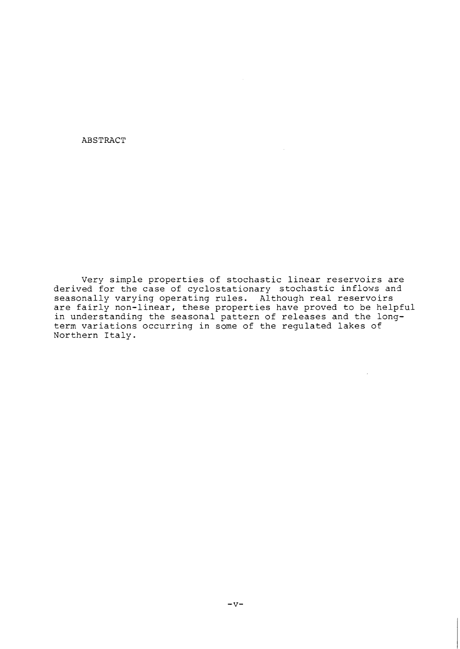ABSTRACT

Very simple properties of stochastic linear reservoirs are derived for the case of cyclostationary stochastic inflows and seasonally varying operating rules. Although real reservoirs are fairly non-linear, these properties have proved to be helpful in understanding the seasonal pattern of releases and the longterm variations occurring in some of the regulated lakes of Northern Italy.

 $\mathcal{L}$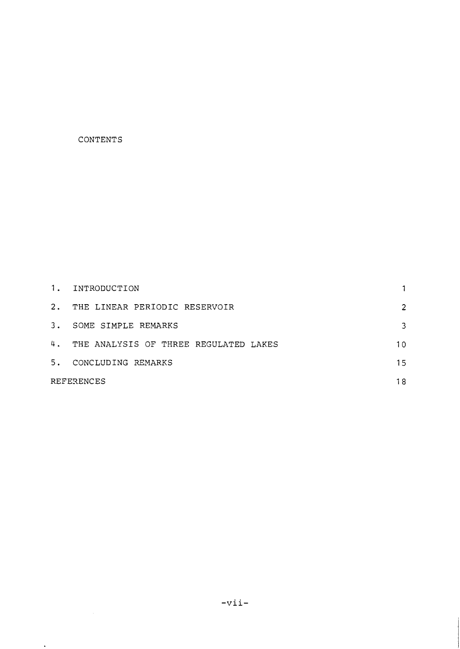# CONTENTS

 $\langle \cdot \rangle$ 

| 1.         | INTRODUCTION                             |    |
|------------|------------------------------------------|----|
| 2.         | THE LINEAR PERIODIC RESERVOIR            | 2  |
| 3.         | SOME SIMPLE REMARKS                      | 3  |
|            | 4. THE ANALYSIS OF THREE REGULATED LAKES | 10 |
| 5.         | CONCLUDING REMARKS                       | 15 |
| REFERENCES |                                          | 18 |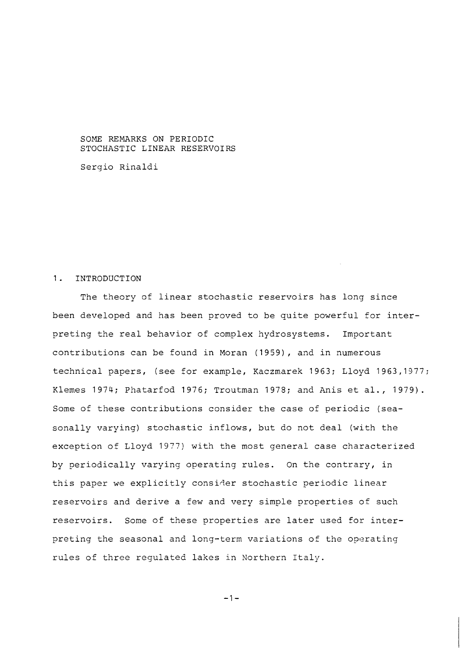SOME REMARKS ON PERIODIC STOCHASTIC LINEAR RESERVOIRS

Sergio Rinaldi

## 1. INTRODUCTION

The theory of linear stochastic reservoirs has long since been developed and has been proved to be quite powerful for interpreting the real behavior of complex hydrosystems. Important contributions can be found in Moran (1959), and in numerous technical papers, (see for example, Kaczmarek 1963; Lloyd 1963,1377; Klemes 1974; Phatarfod 1976; Troutman 1973; and Anis et al., 1979). Some of these contributions consider the case of periodic (seasonally varying) stochastic inflows, but do not deal (with the exception of Lloyd 1977) with the most general case characterized by periodically varying operating rules. On the contrary, in this paper we explicitly consider stochastic periodic linear reservoirs and derive a few and very simple properties of such reservoirs. Some of these properties are later used for interpreting the seasonal and long-term variations of the operating rules of three regulated lakes in Northern Italy.

 $-1-$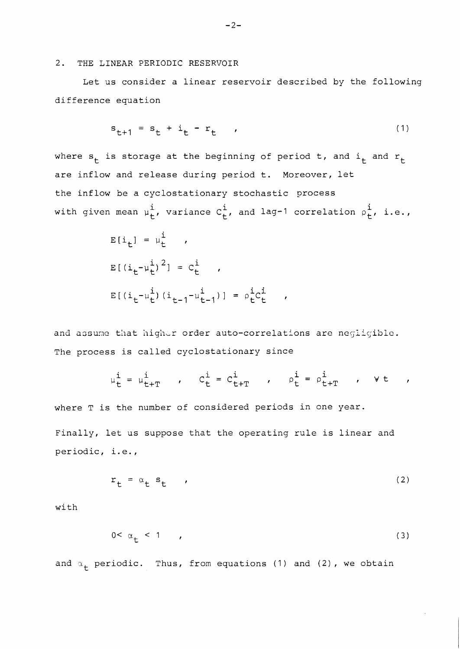## 2. THE LINEAR PERIODIC RESERVOIR

Let us consider a linear reservoir described by the following difference equation

$$
s_{t+1} = s_t + i_t - r_t \t\t(1)
$$

where  $s_t$  is storage at the beginning of period t, and  $i_t$  and  $r_t$ are inflow and release during period t. Moreover, let the inflow be a cyclostationary stochastic process with given mean  $\mu_t^i$ , variance  $C_t^i$ , and lag-1 correlation  $\rho_t^i$ , i.e.,

$$
E[i_{t}] = \mu_{t}^{i},
$$
  
\n
$$
E[(i_{t} - \mu_{t}^{i})^{2}] = C_{t}^{i},
$$
  
\n
$$
E[(i_{t} - \mu_{t}^{i})(i_{t-1} - \mu_{t-1}^{i})] = \rho_{t}^{i}C_{t}^{i},
$$

and assume that higher order auto-correlations are negligible. The process is called cyclostationary since

$$
\mu_t^i = \mu_{t+T}^i \qquad , \qquad C_t^i = C_{t+T}^i \qquad , \qquad \rho_t^i = \rho_{t+T}^i \qquad , \qquad \forall t \qquad ,
$$

where T is the number of considered periods in one year. Finally, let us suppose that the operating rule is linear and periodic, i.e.,

$$
\mathbf{r}_{t} = \alpha_{t} \mathbf{s}_{t} \tag{2}
$$

with

$$
0 < \alpha_+ < 1 \tag{3}
$$

and  $\alpha_+$  periodic. Thus, from equations (1) and (2), we obtain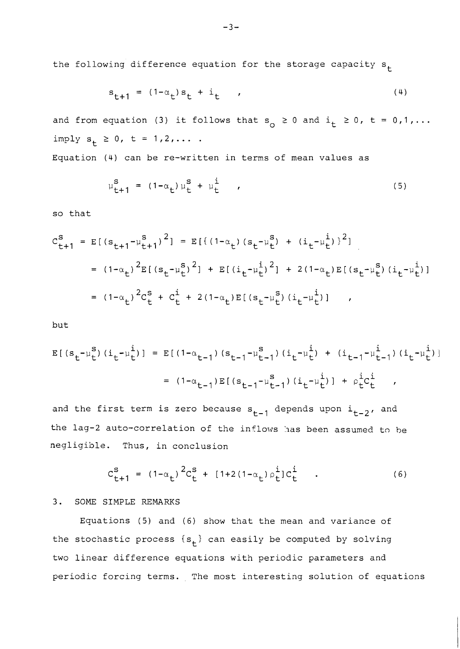the following difference equation for the storage capacity  $s_{+}$ 

$$
s_{t+1} = (1 - \alpha_t) s_t + i_t \qquad (4)
$$

and from equation (3) it follows that  $s_0 \ge 0$  and  $i_t \ge 0$ ,  $t = 0, 1, ...$  $imply s_t \ge 0, t = 1, 2, ...$ 

Equation (4) can be re-written in terms of mean values as

$$
\mu_{t+1}^{s} = (1 - \alpha_{t}) \mu_{t}^{s} + \mu_{t}^{i} \qquad (5)
$$

so that

$$
C_{t+1}^{s} = E[(s_{t+1} - \mu_{t+1}^{s})^{2}] = E[(1 - \alpha_{t})(s_{t} - \mu_{t}^{s}) + (i_{t} - \mu_{t}^{i})^{2}]
$$
  
\n
$$
= (1 - \alpha_{t})^{2} E[(s_{t} - \mu_{t}^{s})^{2}] + E[(i_{t} - \mu_{t}^{i})^{2}] + 2(1 - \alpha_{t}) E[(s_{t} - \mu_{t}^{s}) (i_{t} - \mu_{t}^{i})]
$$
  
\n
$$
= (1 - \alpha_{t})^{2} C_{t}^{s} + C_{t}^{i} + 2(1 - \alpha_{t}) E[(s_{t} - \mu_{t}^{s}) (i_{t} - \mu_{t}^{i})],
$$

but

$$
E[(s_t - \mu_t^s)(i_t - \mu_t^i)] = E[(1 - \alpha_{t-1})(s_{t-1} - \mu_{t-1}^s)(i_t - \mu_t^i) + (i_{t-1} - \mu_{t-1}^i)(i_t - \mu_t^i)]
$$
  

$$
= (1 - \alpha_{t-1})E[(s_{t-1} - \mu_{t-1}^s)(i_t - \mu_t^i)] + \rho_t^i c_t^i,
$$

and the first term is zero because  $s_{t-1}$  depends upon  $i_{t-2}$ , and the lag-2 auto-correlation of the inflows has been assumed to be negligible. Thus, in conclusion

$$
C_{t+1}^{s} = (1 - \alpha_{t})^{2} C_{t}^{s} + [1 + 2(1 - \alpha_{t}) \rho_{t}^{i}] C_{t}^{i} \qquad (6)
$$

# *3.* SOME SIMPLE REMARKS

Equations (5) and (6) show that the mean and variance of the stochastic process  $\{s_t\}$  can easily be computed by solving two linear difference equations with periodic parameters and periodic forcing terms. The most interesting solution of equations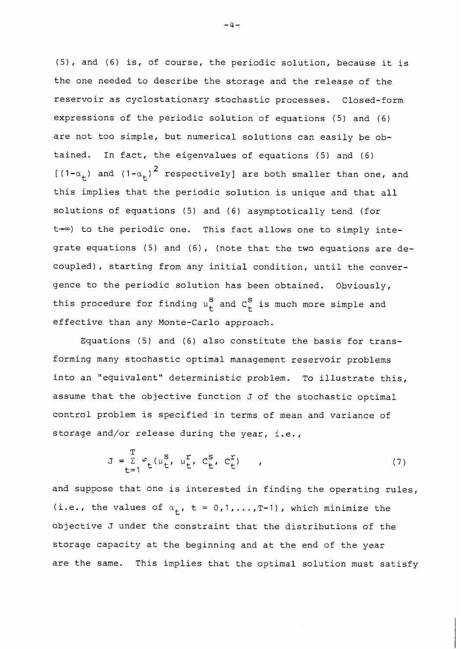(5), and (6) is, of course, the periodic solution, because it is the one needed to describe the storage and the release of the reservoir as cyclostationary stochastic processes. Closed-form expressions of the periodic solution of equations (5) and (6) are not too simple, but numerical solutions can easily be obtained. In fact, the eigenvalues of equations (5) and (6)  $[(1-a<sub>+</sub>)$  and  $(1-a<sub>+</sub>)<sup>2</sup>$  respectively] are both smaller than one, and this implies that the periodic solution is unique and that all solutions of equations (5) and (6) asymptotically tend (for t- $\infty$ ) to the periodic one. This fact allows one to simply integrate equations (5) and **(6),** (note that the two equations are decoupled), starting from any initial condition, until the convergence to the periodic solution has been obtained. Obviously, this procedure for finding  $\mu_f^S$  and  $C_f^S$  is much more simple and effective than any Monte-Carlo approach.

Equations (5) and (6) also constitute the basis for transforming many stochastic optimal management reservoir problems into an "equivalent" deterministic problem. To illustrate this, assume that the objective function J of the stochastic optimal control problem is specified in terms of mean and variance of storage and/or release during the year, i.e.,

$$
J = \sum_{t=1}^{T} \varphi_t (\mu_t^s, \mu_t^r, C_t^s, C_t^r)
$$
 (7)

and suppose that one is interested in finding the operating rules, (i.e., the values of  $\alpha_t$ , t = 0,1,..., T-1), which minimize the objective J under the constraint that the distributions of the storage capacity at the beginning and at the end of the year are the same. This implies that the optimal solution must satisfy

 $-4-$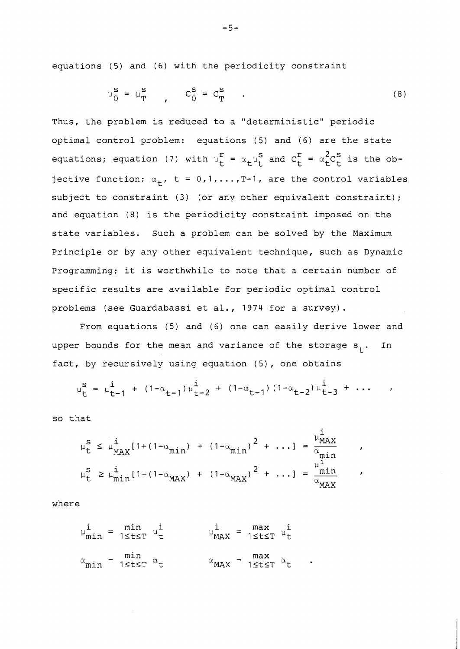equations (5) and (6) with the periodicity constraint

$$
\mu_0^{\mathbf{S}} = \mu_T^{\mathbf{S}} , \qquad C_0^{\mathbf{S}} = C_T^{\mathbf{S}} . \tag{8}
$$

Thus, the problem is reduced to a "deterministic" periodic optimal control problem: equations (5) and (6) are the state equations; equation (7) with  $\mu_t^r = \alpha_t \mu_t^s$  and  $C_t^r = \alpha_t^2 C_t^s$  is the objective function;  $\alpha_t$ , t = 0,1,..., T-1, are the control variables subject to constraint (3) (or any other equivalent constraint); and equation (8) is the periodicity constraint imposed on the state variables. Such a problem can be solved by the Maximum Principle or by any other equivalent technique, such as Dynamic Programming; it is worthwhile to note that a certain number of specific results are available for periodic optimal control problems (see Guardabassi et al., 1974 for a survey).

From equations (5) and (6) one can easily derive lower and upper bounds for the mean and variance of the storage  $s_t$ . In fact, by recursively using equation (5), one obtains

$$
\mu_{t}^{s} = \mu_{t-1}^{i} + (1 - \alpha_{t-1}) \mu_{t-2}^{i} + (1 - \alpha_{t-1}) (1 - \alpha_{t-2}) \mu_{t-3}^{i} + \cdots
$$

so that

$$
\mu_{t}^{S} = \mu_{t-1}^{1} + (1 - \alpha_{t-1}) \mu_{t-2}^{1} + (1 - \alpha_{t-1}) (1 - \alpha_{t-2}) \mu_{t-3}^{1} + \cdots
$$
\n
$$
\mu_{t}^{S} \le \mu_{\text{MAX}}^{i} [1 + (1 - \alpha_{\text{min}}) + (1 - \alpha_{\text{min}})^{2} + \cdots] = \frac{\mu_{\text{MAX}}^{i}}{\alpha_{\text{min}}^{i}}
$$
\n
$$
\mu_{t}^{S} \ge \mu_{\text{min}}^{i} [1 + (1 - \alpha_{\text{MAX}}) + (1 - \alpha_{\text{MAX}})^{2} + \cdots] = \frac{\mu_{\text{MAX}}^{i}}{\alpha_{\text{MAX}}^{i}}
$$

where

$$
\mu_{\min}^i = \min_{1 \le t \le T} \mu_t^i \qquad \qquad \mu_{\text{MAX}}^i = \max_{1 \le t \le T} \mu_t^i
$$
\n
$$
\alpha_{\min} = \min_{1 \le t \le T} \alpha_t \qquad \qquad \alpha_{\text{MAX}} = \max_{1 \le t \le T} \alpha_t \qquad .
$$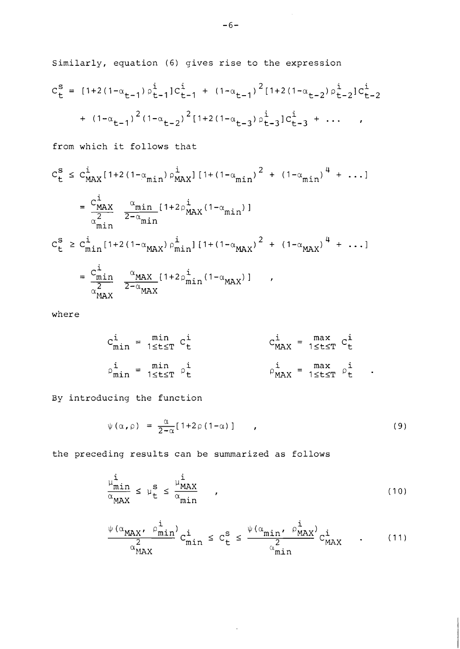Similarly, equation (6) gives rise to the expression

$$
c_{t}^{s} = [1+2(1-\alpha_{t-1})\rho_{t-1}^{i}]c_{t-1}^{i} + (1-\alpha_{t-1})^{2}[1+2(1-\alpha_{t-2})\rho_{t-2}^{i}]c_{t-2}^{i}
$$

$$
+ (1-\alpha_{t-1})^{2(1-\alpha_{t-2})^{2}[1+2(1-\alpha_{t-3})\rho_{t-3}^{i}]c_{t-3}^{i} + \cdots ,
$$

from which it follows that

$$
C_{t}^{S} \leq C_{MAX}^{i} [1+2(1-\alpha_{min}) \rho_{MAX}^{i}] [1+(1-\alpha_{min})^{2} + (1-\alpha_{min})^{4} + ...]
$$
\n
$$
= \frac{C_{MAX}^{i}}{\alpha_{min}^{2}} \frac{\alpha_{min}}{2-\alpha_{min}} [1+2\rho_{MAX}^{i}(1-\alpha_{min})]
$$
\n
$$
C_{t}^{S} \geq C_{min}^{i} [1+2(1-\alpha_{MAX}) \rho_{min}^{i}] [1+(1-\alpha_{MAX})^{2} + (1-\alpha_{MAX})^{4} + ...]
$$
\n
$$
= \frac{C_{min}^{i}}{\alpha_{MAX}^{2}} \frac{\alpha_{MAX}}{2-\alpha_{MAX}} [1+2\rho_{min}^{i}(1-\alpha_{MAX})],
$$

where

$$
c_{\min}^i = \min_{1 \le t \le T} c_t^i
$$
  
\n
$$
c_{\max}^i = \max_{1 \le t \le T} c_t^i
$$
  
\n
$$
c_{\max}^i = \max_{1 \le t \le T} c_t^i
$$
  
\n
$$
c_{\max}^i = \max_{1 \le t \le T} c_t^i
$$
  
\n
$$
c_{\max}^i = \max_{1 \le t \le T} c_t^i
$$

By introducing the function

$$
\psi(\alpha,\rho) = \frac{\alpha}{2-\alpha} [1+2\rho(1-\alpha)] \qquad , \qquad (9)
$$

the preceding results can be summarized as follows

$$
\frac{\mu_{\min}^{i}}{\alpha_{\max}} \leq \mu_{\mathbf{t}}^{s} \leq \frac{\mu_{\max}^{i}}{\alpha_{\min}} , \qquad (10)
$$

$$
\frac{\psi(\alpha_{\text{MAX}}, \beta_{\text{min}}^{\text{i}})}{\alpha_{\text{MAX}}^{2}} c_{\text{min}}^{\text{i}} \leq c_{\text{t}}^{\text{s}} \leq \frac{\psi(\alpha_{\text{min}}, \beta_{\text{MAX}}^{\text{i}})}{\alpha_{\text{min}}^{2}} c_{\text{MAX}}^{\text{i}} \tag{11}
$$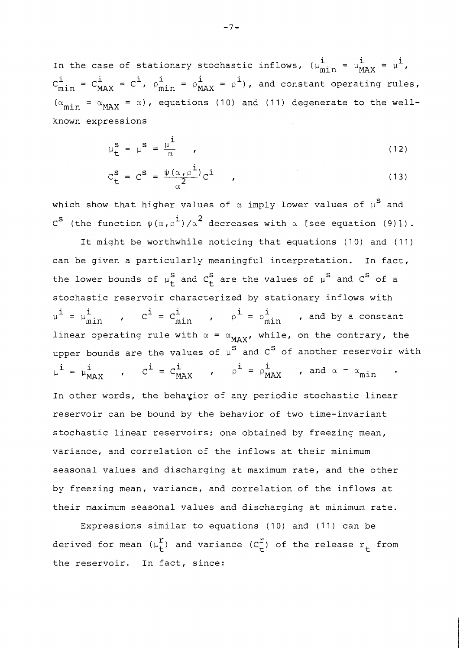In the case of stationary stochastic inflows,  $(\mu_{\text{min}}^i = \mu_{\text{MAX}}^i = \mu^i)$ ,  $\mu_{1} = \mu_{1}^{i} = \mu_{2}^{i}$   $\sigma_{2}^{i} = \mu_{1}^{i} = \mu_{2}^{i}$  $C_{min}^{\perp} = C_{MAX}^{\perp} = C_{max}^{\perp}$ ,  $\rho_{min}^{\perp} = \rho_{MAX}^{\perp} = \rho^{\perp}$ ), and constant operating rules,  $(\alpha_{\min} = \alpha_{\text{MAX}} = \alpha)$ , equations (10) and (11) degenerate to the wellknown expressions

$$
\mu_{\mathbf{t}}^{\mathbf{S}} = \mu^{\mathbf{S}} = \frac{\mu^{\mathbf{i}}}{\alpha} \qquad (12)
$$

$$
C_{\mathsf{t}}^{\mathsf{S}} = C^{\mathsf{S}} = \frac{\psi(\alpha, \rho^{\mathsf{i}})}{\alpha^2} C^{\mathsf{i}} \tag{13}
$$

which show that higher values of  $\alpha$  imply lower values of  $\mu$ <sup>S</sup> and  $c^{s}$  (the function  $\psi(\alpha,\rho^{\dot{1}})/\alpha^{2}$  decreases with  $\alpha$  [see equation (9)]).

It might be worthwhile noticing that equations (10) and (11) can be given a particularly meaningful interpretation. In fact, the lower bounds of  $\mu_t^S$  and  $C_t^S$  are the values of  $\mu^S$  and  $C^S$  of a stochastic reservoir characterized by stationary inflows with  $\mu^{i} = \mu^{i}_{min}$  ,  $C^{i} = C^{i}_{min}$  ,  $\rho^{i} = \rho^{i}_{min}$  , and by a constant linear operating rule with  $\alpha = \alpha_{MAX}$ , while, on the contrary, the upper bounds are the values of  $\mu$ <sup>S</sup> and  $C^S$  of another reservoir with  $\mu^{i} = \mu^{i}_{MAX}$  ,  $C^{i} = C^{i}_{MAX}$  ,  $\rho^{i} = \rho^{i}_{MAX}$  , and  $\alpha = \alpha_{min}$ In other words, the behayior of any periodic stochastic linear reservoir can be bound by the behavior of two time-invariant stochastic linear reservoirs; one obtained by freezing mean, variance, and correlation of the inflows at their minimum seasonal values and discharging at maximum rate, and the other by freezing mean, variance, and correlation of the inflows at their maximum seasonal values and discharging at minimum rate.

Expressions similar to equations (10) and (11) can be derived for mean  $(\mu_t^r)$  and variance  $(C_t^r)$  of the release  $r_t$  from the reservoir. In fact, since: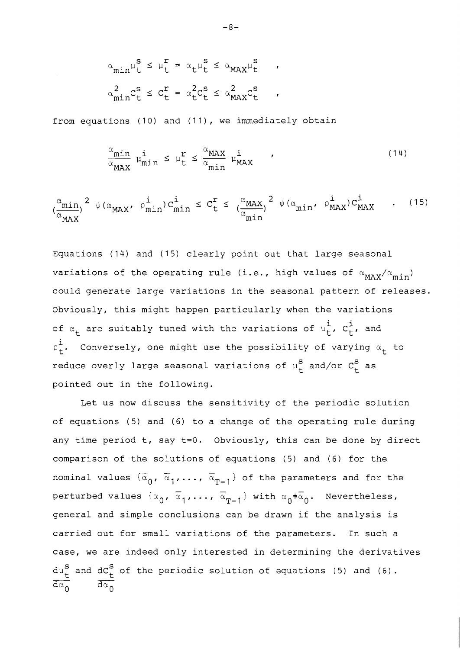$$
\alpha_{\min} \mu_t^s \leq \mu_t^r = \alpha_t \mu_t^s \leq \alpha_{\max} \mu_t^s
$$
\n
$$
\alpha_{\min}^2 C_t^s \leq C_t^r = \alpha_t^2 C_t^s \leq \alpha_{\max}^2 C_t^s
$$

from equations  $(10)$  and  $(11)$ , we immediately obtain

$$
\frac{\alpha_{\min}}{\alpha_{\max}} \mu_{\min}^{i} \le \mu_{t}^{r} \le \frac{\alpha_{\max}}{\alpha_{\min}} \mu_{\max}^{i} \qquad (14)
$$

$$
\left(\frac{\alpha_{\min}}{\alpha_{\max}}\right)^2 \psi(\alpha_{\max}, \beta_{\min}^i) C_{\min}^i \leq C_{\text{t}}^{\text{r}} \leq \left(\frac{\alpha_{\max}}{\alpha_{\min}}\right)^2 \psi(\alpha_{\min}, \beta_{\max}^i) C_{\max}^i \tag{15}
$$

Equations ( 14) and ( 15) clearly point out that large seasonal variations of the operating rule (i.e., high values of  $\alpha_{MAX}/\alpha_{min}$ ) could generate large variations in the seasonal pattern of releases. Obviously, this might happen particularly when the variations of  $\alpha_t$  are suitably tuned with the variations of  $\mu_t^i$ ,  $C_t^i$ , and .<br>i  $\rho_{\texttt{t}}^{\texttt{t}}$ . Conversely, one might use the possibility of varying  $\alpha_{\texttt{t}}^{\texttt{t}}$  to reduce overly large seasonal variations of  $\mu_{\rm t}^{\rm S}$  and/or  $C_{\rm t}^{\rm S}$  as pointed out in the following.

Let us now discuss the sensitivity of the periodic solution of equations (5) and (6) to a change of the operating rule during any time period t, say t=O. Obviously, this can be done by direct comparison of the solutions of equations (5) and (6) for the nominal values  $\{\overline{\alpha}_0, \overline{\alpha}_1, \ldots, \overline{\alpha}_{T-1}\}$  of the parameters and for the perturbed values  $\{\alpha_0, \overline{\alpha}_1, \ldots, \overline{\alpha}_{T-1}\}$  with  $\alpha_0^{\dagger} \overline{\alpha}_0$ . Nevertheless, general and simple conclusions can be drawn if the analysis is carried out for small variations of the parameters. In such a case, we are indeed only interested in determining the derivatives  $\frac{d\mu_{t}^{S}}{d\alpha_{0}}$  and  $\frac{dC_{t}^{S}}{d\alpha_{0}}$  of the periodic solution of equations (5) and (6).  $\overline{d\alpha_{\alpha}}$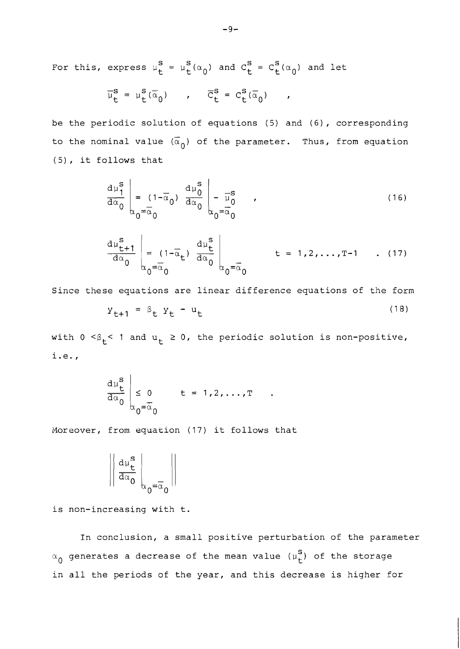For this, express  $\mu_t^S = \mu_t^S(\alpha_0)$  and  $C_t^S = C_t^S(\alpha_0)$  and let

$$
\overline{\mu}_{t}^{s} = \mu_{t}^{s}(\overline{\alpha}_{0}) \qquad , \qquad \overline{C}_{t}^{s} = C_{t}^{s}(\overline{\alpha}_{0}) \qquad ,
$$

be the periodic solution of equations (5) and (6), corresponding to the nominal value  $(\bar{\alpha}_0)$  of the parameter. Thus, from equation (5) , it follows that

$$
\frac{d\mu_1^s}{d\alpha_0} \bigg|_{\alpha_0 = \overline{\alpha}_0} \qquad \frac{d\mu_0^s}{d\alpha_0} \bigg|_{\alpha_0 = \overline{\alpha}_0} - \frac{1}{\overline{\alpha}_0^s} \qquad , \qquad (16)
$$

$$
\frac{d\mu_{t+1}^{s}}{d\alpha_{0}}\bigg|_{\alpha_{0}=\overline{\alpha}_{0}}\frac{d\mu_{t}^{s}}{d\alpha_{0}}\bigg|_{\alpha_{0}=\overline{\alpha}_{0}}\qquad t=1,2,\ldots,T-1 \qquad . \quad (17)
$$

Since these equations are linear difference equations of the form

$$
Y_{t+1} = \beta_t Y_t - u_t \tag{18}
$$

 $\bullet$ 

with  $0 < \beta_t < 1$  and  $u_t \ge 0$ , the periodic solution is non-positive, i.e.,

$$
\frac{d\mu_t^s}{d\alpha_0} \bigg|_{\alpha_0 = \overline{\alpha}_0} \qquad t = 1, 2, ..., T
$$

Moreover, from equation (17) it follows that

$$
\left\|\tfrac{d\mu^{\bf S}_{\bf t}}{d\alpha_0}\t\right\|_{\alpha_0=\overline{\alpha}_0}\right\|
$$

is non-increasing with t.

In conclusion, a small positive perturbation of the parameter  $\alpha_{\mathbf{0}}$  generates a decrease of the mean value ( $\mu_{\mathbf{t}}^{\mathbf{S}}$ ) of the storage in all the periods of the year, and this decrease is higher for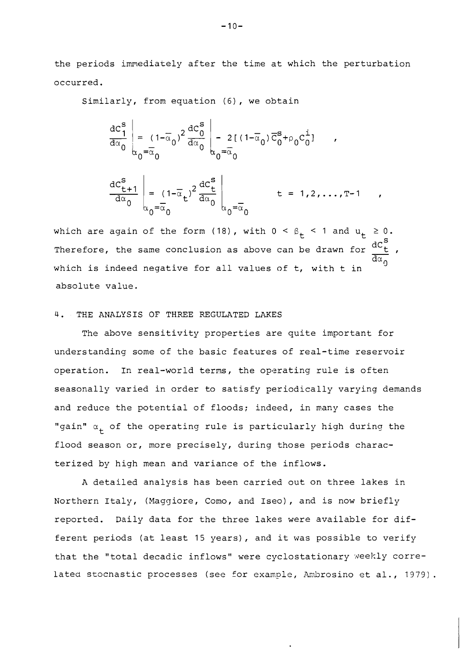the periods immediately after the time at which the perturbation occurred.

Similarly, from equation (6), we obtain

$$
\frac{dC_1^s}{d\alpha_0} \bigg|_{\alpha_0 = \overline{\alpha}_0} (1 - \overline{\alpha}_0)^2 \frac{dC_0^s}{d\alpha_0} \bigg|_{\alpha_0 = \overline{\alpha}_0} - 2[(1 - \overline{\alpha}_0) \overline{C}_0^s + \rho_0 C_0^i] ,
$$
\n
$$
\frac{dC_{t+1}^s}{d\alpha_0} \bigg|_{\alpha_0 = \overline{\alpha}_0} (1 - \overline{\alpha}_t)^2 \frac{dC_t^s}{d\alpha_0} \bigg|_{\alpha_0 = \overline{\alpha}_0} + 1 = 1, 2, ..., T-1
$$

which are again of the form (18), with  $0 < \beta_t < 1$  and  $u_t \ge 0$ .<br>Therefore, the same conclusion as above can be drawn for  $\frac{dC_t^S}{d\alpha_s}$ , S which is indeed negative for all values of  $t$ , with  $t$  in absolute value.

## 4. THE ANALYSIS OF THREE REGULATED LAKES

The above sensitivity properties are quite important for understanding some of the basic features of real-time reservoir operation. In real-world terms, the operating rule is often seasonally varied in order to satisfy periodically varying demands and reduce the potential of floods; indeed, in many cases the "gain"  $\alpha_+$  of the operating rule is particularly high during the flood season or, more precisely, during those periods characterized by high mean and variance of the inflows.

A detailed analysis has been carried out on three lakes in Northern Italy, (Maggiore, Como, and Iseo), and is now briefly reported. Daily data for the three lakes were available for different periods (at least 15 years), and it was possible to verify that the "total decadic inflows" were cyclostationary weekly correlated stochastic processes (see for example, Ambrosino et al., 1979).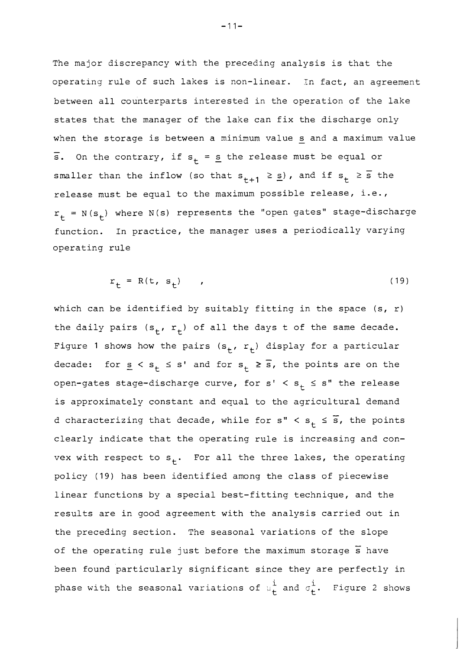The major discrepancy with the preceding analysis is that the operating rule of such lakes is non-linear. Tn fact, an agreement between all counterparts interested in the operation of the lake states that the manager of the lake can fix the discharge only when the storage is between a minimum value  $\underline{\mathbf{s}}$  and a maximum value whe<br>=  $\overline{s}$ . On the contrary, if  $s_{+} = s$  the release must be equal or smaller than the inflow (so that  $s_{t+1} \geq s$ ), and if  $s_t \geq \overline{s}$  the release must be equal to the maximum possible release, i.e.,  $r_{+}$  = N(s<sub>t</sub>) where N(s) represents the "open gates" stage-discharge function. In practice, the manager uses a periodically varying operating rule

$$
r_{+} = R(t, s_{+}) \qquad (19)
$$

which can be identified by suitably fitting in the space  $(s, r)$ the daily pairs  $(s_t, r_t)$  of all the days t of the same decade. Figure 1 shows how the pairs  $(s_t, r_t)$  display for a particular<br>decade: for  $s \le s \le s!$  and for  $s \ge \overline{s}$  the points are on the decade: for  $\underline{s} < s_t \leq s'$  and for  $s_t \geq \overline{s}$ , the points are on the open-gates stage-discharge curve, for  $s' < s_+ \le s''$  the release is approximately constant and equal to the agricultural demand<br>d characterizing that decade while for s" < s < s the points d characterizing that decade, while for  $s''$  <  $s_+$   $\leq$   $\overline{s}$ , the points clearly indicate that the operating rule is increasing and convex with respect to  $s_{+}$ . For all the three lakes, the operating policy (19) has been identified among the class of piecewise linear functions by a special best-fitting technique, and the results are in good agreement with the analysis carried out in the preceding section. The seasonal variations of the slope of the operating rule just before the maximum storage *s* have been found particularly significant since they are perfectly in phase with the seasonal variations of  $\mu^{\dot{1}}_{\dot{\mathbf{t}}}$  and  $\sigma^{\dot{1}}_{\mathbf{t}}$ . Figure 2 shows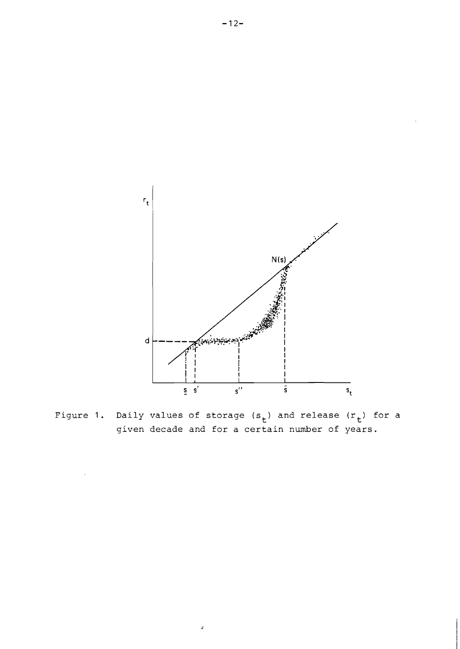

Figure 1. Daily values of storage  $(s_{+})$  and release  $(r_{+})$  for a given decade and for a certain number of years.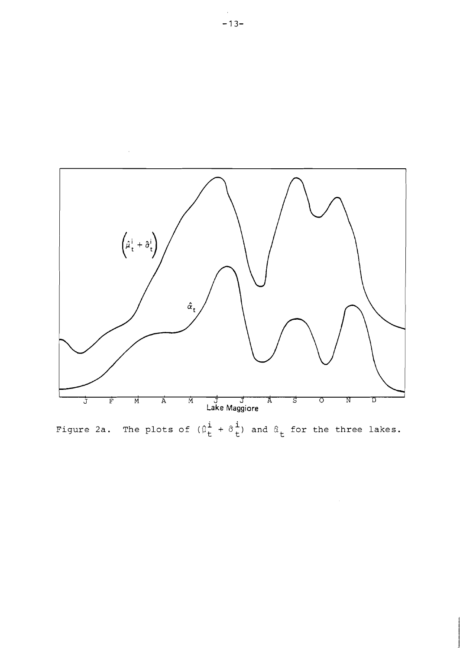

Figure 2a. The plots of  $(\hat{\mu}^i_t + \hat{\sigma}^i_t)$  and  $\hat{\alpha}^i_t$  for the three lakes.

 $\hat{\mathcal{L}}$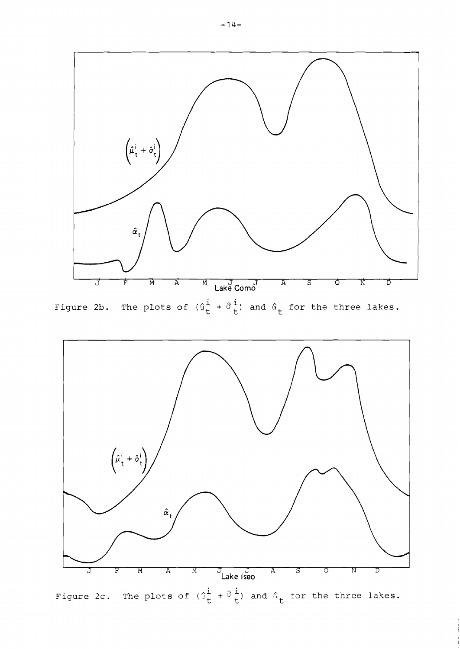

Figure 2b. The plots of  $(\hat{u}_t^i + \hat{\sigma}_t^i)$  and  $\hat{\alpha}_t$  for the three lakes.

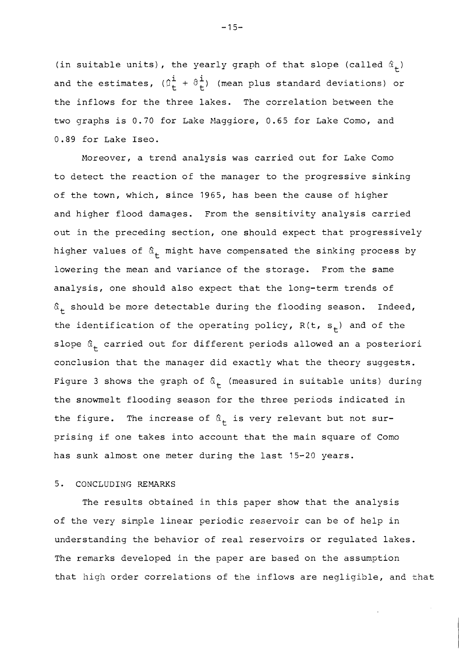(in suitable units), the yearly graph of that slope (called  $\hat{\alpha}_{+}$ ) and the estimates,  $(\hat{p}^{\dot{1}}_{+} + \hat{\sigma}^{\dot{1}}_{+})$  (mean plus standard deviations) or the inflows for the three lakes. The correlation between the two graphs is 0.70 for Lake Maggiore, 0.65 for Lake Como, and 0.89 for Lake Iseo.

Moreover, a trend analysis was carried out for Lake Como to detect the reaction of the manager to the progressive sinking of the town, which, since 1965, has been the cause of higher and higher flood damages. From the sensitivity analysis carried out in the preceding section, one should expect that progressively higher values of  $\hat{\alpha}_{t}$  might have compensated the sinking process by lowering the mean and variance of the storage. From the sane analysis, one should also expect that the long-term trends of  $\hat{a}_+$  should be more detectable during the flooding season. Indeed, the identification of the operating policy,  $R(t, s<sub>+</sub>)$  and of the slope  $\hat{a}_{+}$  carried out for different periods allowed an a posteriori conclusion that the manager did exactly what the theory suggests. Figure 3 shows the graph of  $\hat{a}_{+}$  (measured in suitable units) during the snowmelt flooding season for the three periods indicated in the figure. The increase of  $\hat{\alpha}_+$  is very relevant but not surprising if one takes into account that the main square of Como has sunk almost one meter during the last 15-20 years.

### 5. CONCLUDING REMARKS

The results obtained in this paper show that the analysis of the very simple linear periodic reservoir can be of help in understanding the behavior of real reservoirs or regulated lakes. The remarks developed in the paper are based on the assumption that high order correlations of the inflows are negligible, and that

 $-15-$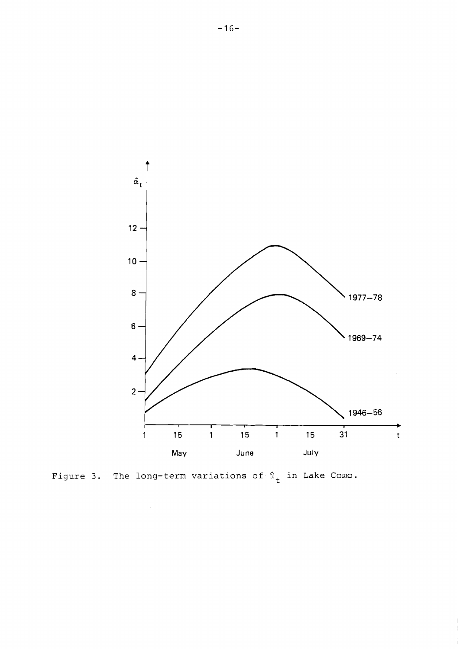

 $\frac{1}{4}$  $\bar{1}$ 

Figure 3. The long-term variations of  $\hat{a}_{t}$  in Lake Como.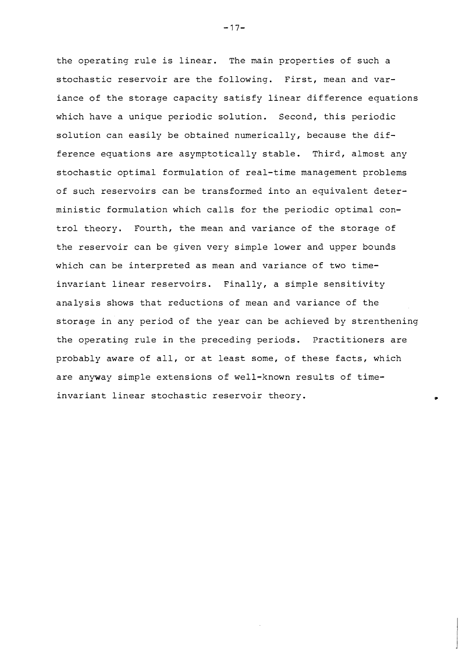the operating rule is linear. The main properties of such a stochastic reservoir are the following. First, mean and variance of the storage capacity satisfy linear difference equations which have a unique periodic solution. Second, this periodic solution can easily be obtained numerically, because the difference equations are asymptotically stable. Third, almost any stochastic optimal formulation of real-time management problems of such reservoirs can be transformed into an equivalent deterministic formulation which calls for the periodic optimal control theory. Fourth, the mean and variance of the storage of the reservoir can be given very simple lower and upper bounds which can be interpreted as mean and variance of two timeinvariant linear reservoirs. Finally, a simple sensitivity analysis shows that reductions of mean and variance of the storage in any period of the year can be achieved by strenthening the operating rule in the preceding periods. Practitioners are probably aware of all, or at least some, of these facts, which are anyway simple extensions of well-known results of timeinvariant linear stochastic reservoir theory.

 $-17-$